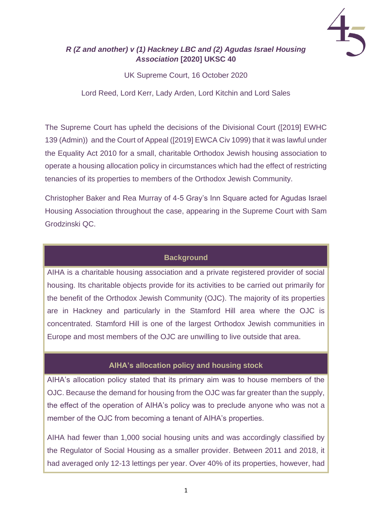

# *R (Z and another) v (1) Hackney LBC and (2) Agudas Israel Housing Association* **[2020] UKSC 40**

UK Supreme Court, 16 October 2020

Lord Reed, Lord Kerr, Lady Arden, Lord Kitchin and Lord Sales

The Supreme Court has upheld the decisions of the Divisional Court ([2019] EWHC 139 (Admin)) and the Court of Appeal ([2019] EWCA Civ 1099) that it was lawful under the Equality Act 2010 for a small, charitable Orthodox Jewish housing association to operate a housing allocation policy in circumstances which had the effect of restricting tenancies of its properties to members of the Orthodox Jewish Community.

Christopher Baker and Rea Murray of 4-5 Gray's Inn Square acted for Agudas Israel Housing Association throughout the case, appearing in the Supreme Court with Sam Grodzinski QC.

## **Background**

AIHA is a charitable housing association and a private registered provider of social housing. Its charitable objects provide for its activities to be carried out primarily for the benefit of the Orthodox Jewish Community (OJC). The majority of its properties are in Hackney and particularly in the Stamford Hill area where the OJC is concentrated. Stamford Hill is one of the largest Orthodox Jewish communities in Europe and most members of the OJC are unwilling to live outside that area.

# **AIHA's allocation policy and housing stock**

AIHA's allocation policy stated that its primary aim was to house members of the OJC. Because the demand for housing from the OJC was far greater than the supply, the effect of the operation of AIHA's policy was to preclude anyone who was not a member of the OJC from becoming a tenant of AIHA's properties.

AIHA had fewer than 1,000 social housing units and was accordingly classified by the Regulator of Social Housing as a smaller provider. Between 2011 and 2018, it had averaged only 12-13 lettings per year. Over 40% of its properties, however, had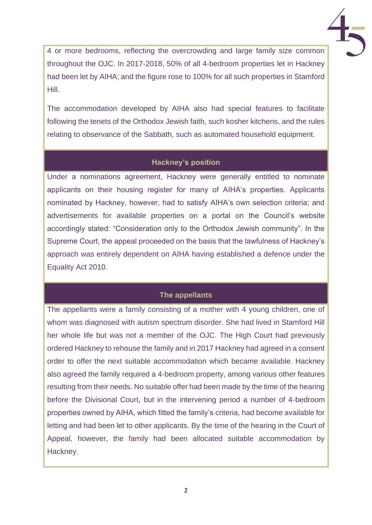

4 or more bedrooms, reflecting the overcrowding and large family size common throughout the OJC. In 2017-2018, 50% of all 4-bedroom properties let in Hackney had been let by AIHA; and the figure rose to 100% for all such properties in Stamford Hill.

The accommodation developed by AIHA also had special features to facilitate following the tenets of the Orthodox Jewish faith, such kosher kitchens, and the rules relating to observance of the Sabbath, such as automated household equipment.

### **Hackney's position**

Under a nominations agreement, Hackney were generally entitled to nominate applicants on their housing register for many of AIHA's properties. Applicants nominated by Hackney, however, had to satisfy AIHA's own selection criteria; and advertisements for available properties on a portal on the Council's website accordingly stated: "Consideration only to the Orthodox Jewish community". In the Supreme Court, the appeal proceeded on the basis that the lawfulness of Hackney's approach was entirely dependent on AIHA having established a defence under the Equality Act 2010.

# **The appellants**

The appellants were a family consisting of a mother with 4 young children, one of whom was diagnosed with autism spectrum disorder. She had lived in Stamford Hill her whole life but was not a member of the OJC. The High Court had previously ordered Hackney to rehouse the family and in 2017 Hackney had agreed in a consent order to offer the next suitable accommodation which became available. Hackney also agreed the family required a 4-bedroom property, among various other features resulting from their needs. No suitable offer had been made by the time of the hearing before the Divisional Court, but in the intervening period a number of 4-bedroom properties owned by AIHA, which fitted the family's criteria, had become available for letting and had been let to other applicants. By the time of the hearing in the Court of Appeal, however, the family had been allocated suitable accommodation by Hackney.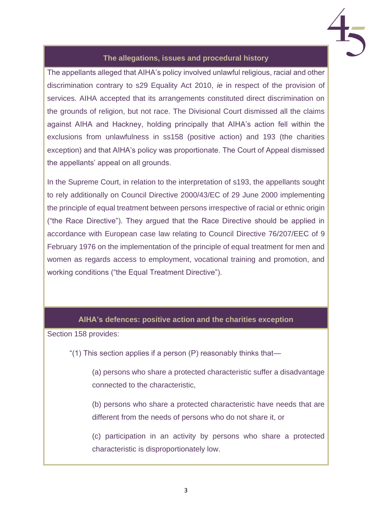

### **The allegations, issues and procedural history**

The appellants alleged that AIHA's policy involved unlawful religious, racial and other discrimination contrary to s29 Equality Act 2010, *ie* in respect of the provision of services. AIHA accepted that its arrangements constituted direct discrimination on the grounds of religion, but not race. The Divisional Court dismissed all the claims against AIHA and Hackney, holding principally that AIHA's action fell within the exclusions from unlawfulness in ss158 (positive action) and 193 (the charities exception) and that AIHA's policy was proportionate. The Court of Appeal dismissed the appellants' appeal on all grounds.

In the Supreme Court, in relation to the interpretation of s193, the appellants sought to rely additionally on Council Directive 2000/43/EC of 29 June 2000 implementing the principle of equal treatment between persons irrespective of racial or ethnic origin ("the Race Directive"). They argued that the Race Directive should be applied in accordance with European case law relating to Council Directive 76/207/EEC of 9 February 1976 on the implementation of the principle of equal treatment for men and women as regards access to employment, vocational training and promotion, and working conditions ("the Equal Treatment Directive").

#### **AIHA's defences: positive action and the charities exception**

Section 158 provides:

"(1) This section applies if a person (P) reasonably thinks that—

(a) persons who share a protected characteristic suffer a disadvantage connected to the characteristic,

(b) persons who share a protected characteristic have needs that are different from the needs of persons who do not share it, or

(c) participation in an activity by persons who share a protected characteristic is disproportionately low.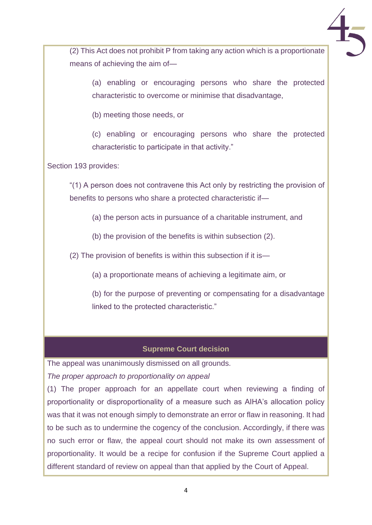(2) This Act does not prohibit P from taking any action which is a proportionate means of achieving the aim of—

(a) enabling or encouraging persons who share the protected characteristic to overcome or minimise that disadvantage,

(b) meeting those needs, or

(c) enabling or encouraging persons who share the protected characteristic to participate in that activity."

Section 193 provides:

"(1) A person does not contravene this Act only by restricting the provision of benefits to persons who share a protected characteristic if—

(a) the person acts in pursuance of a charitable instrument, and

(b) the provision of the benefits is within subsection (2).

(2) The provision of benefits is within this subsection if it is—

(a) a proportionate means of achieving a legitimate aim, or

(b) for the purpose of preventing or compensating for a disadvantage linked to the protected characteristic."

### **Supreme Court decision**

The appeal was unanimously dismissed on all grounds.

*The proper approach to proportionality on appeal*

(1) The proper approach for an appellate court when reviewing a finding of proportionality or disproportionality of a measure such as AIHA's allocation policy was that it was not enough simply to demonstrate an error or flaw in reasoning. It had to be such as to undermine the cogency of the conclusion. Accordingly, if there was no such error or flaw, the appeal court should not make its own assessment of proportionality. It would be a recipe for confusion if the Supreme Court applied a different standard of review on appeal than that applied by the Court of Appeal.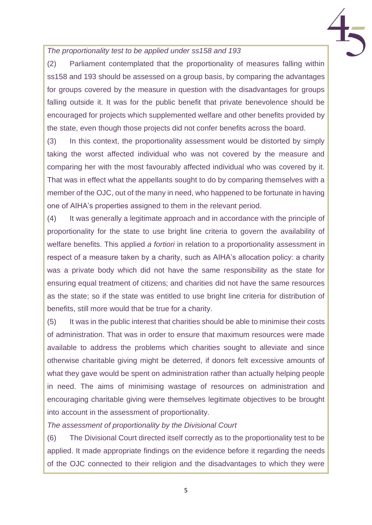### *The proportionality test to be applied under ss158 and 193*

(2) Parliament contemplated that the proportionality of measures falling within ss158 and 193 should be assessed on a group basis, by comparing the advantages for groups covered by the measure in question with the disadvantages for groups falling outside it. It was for the public benefit that private benevolence should be encouraged for projects which supplemented welfare and other benefits provided by the state, even though those projects did not confer benefits across the board.

(3) In this context, the proportionality assessment would be distorted by simply taking the worst affected individual who was not covered by the measure and comparing her with the most favourably affected individual who was covered by it. That was in effect what the appellants sought to do by comparing themselves with a member of the OJC, out of the many in need, who happened to be fortunate in having one of AIHA's properties assigned to them in the relevant period.

(4) It was generally a legitimate approach and in accordance with the principle of proportionality for the state to use bright line criteria to govern the availability of welfare benefits. This applied *a fortiori* in relation to a proportionality assessment in respect of a measure taken by a charity, such as AIHA's allocation policy: a charity was a private body which did not have the same responsibility as the state for ensuring equal treatment of citizens; and charities did not have the same resources as the state; so if the state was entitled to use bright line criteria for distribution of benefits, still more would that be true for a charity.

(5) It was in the public interest that charities should be able to minimise their costs of administration. That was in order to ensure that maximum resources were made available to address the problems which charities sought to alleviate and since otherwise charitable giving might be deterred, if donors felt excessive amounts of what they gave would be spent on administration rather than actually helping people in need. The aims of minimising wastage of resources on administration and encouraging charitable giving were themselves legitimate objectives to be brought into account in the assessment of proportionality.

*The assessment of proportionality by the Divisional Court*

(6) The Divisional Court directed itself correctly as to the proportionality test to be applied. It made appropriate findings on the evidence before it regarding the needs of the OJC connected to their religion and the disadvantages to which they were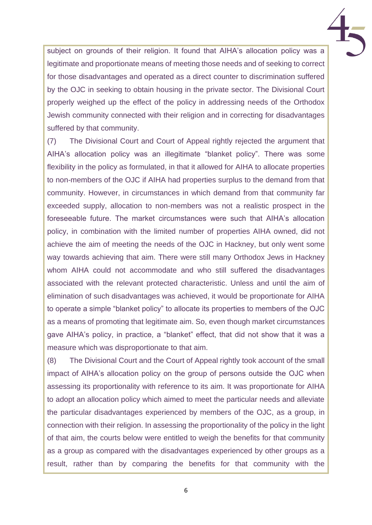subject on grounds of their religion. It found that AIHA's allocation policy was a legitimate and proportionate means of meeting those needs and of seeking to correct for those disadvantages and operated as a direct counter to discrimination suffered by the OJC in seeking to obtain housing in the private sector. The Divisional Court properly weighed up the effect of the policy in addressing needs of the Orthodox Jewish community connected with their religion and in correcting for disadvantages suffered by that community.

(7) The Divisional Court and Court of Appeal rightly rejected the argument that AIHA's allocation policy was an illegitimate "blanket policy". There was some flexibility in the policy as formulated, in that it allowed for AIHA to allocate properties to non-members of the OJC if AIHA had properties surplus to the demand from that community. However, in circumstances in which demand from that community far exceeded supply, allocation to non-members was not a realistic prospect in the foreseeable future. The market circumstances were such that AIHA's allocation policy, in combination with the limited number of properties AIHA owned, did not achieve the aim of meeting the needs of the OJC in Hackney, but only went some way towards achieving that aim. There were still many Orthodox Jews in Hackney whom AIHA could not accommodate and who still suffered the disadvantages associated with the relevant protected characteristic. Unless and until the aim of elimination of such disadvantages was achieved, it would be proportionate for AIHA to operate a simple "blanket policy" to allocate its properties to members of the OJC as a means of promoting that legitimate aim. So, even though market circumstances gave AIHA's policy, in practice, a "blanket" effect, that did not show that it was a measure which was disproportionate to that aim.

(8) The Divisional Court and the Court of Appeal rightly took account of the small impact of AIHA's allocation policy on the group of persons outside the OJC when assessing its proportionality with reference to its aim. It was proportionate for AIHA to adopt an allocation policy which aimed to meet the particular needs and alleviate the particular disadvantages experienced by members of the OJC, as a group, in connection with their religion. In assessing the proportionality of the policy in the light of that aim, the courts below were entitled to weigh the benefits for that community as a group as compared with the disadvantages experienced by other groups as a result, rather than by comparing the benefits for that community with the

6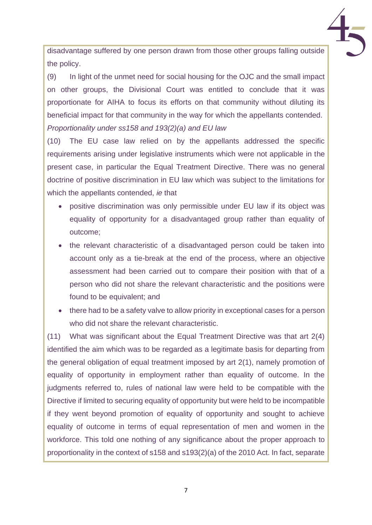disadvantage suffered by one person drawn from those other groups falling outside the policy.

(9) In light of the unmet need for social housing for the OJC and the small impact on other groups, the Divisional Court was entitled to conclude that it was proportionate for AIHA to focus its efforts on that community without diluting its beneficial impact for that community in the way for which the appellants contended. *Proportionality under ss158 and 193(2)(a) and EU law*

(10) The EU case law relied on by the appellants addressed the specific requirements arising under legislative instruments which were not applicable in the present case, in particular the Equal Treatment Directive. There was no general doctrine of positive discrimination in EU law which was subject to the limitations for which the appellants contended, *ie* that

- positive discrimination was only permissible under EU law if its object was equality of opportunity for a disadvantaged group rather than equality of outcome;
- the relevant characteristic of a disadvantaged person could be taken into account only as a tie-break at the end of the process, where an objective assessment had been carried out to compare their position with that of a person who did not share the relevant characteristic and the positions were found to be equivalent; and
- there had to be a safety valve to allow priority in exceptional cases for a person who did not share the relevant characteristic.

(11) What was significant about the Equal Treatment Directive was that art 2(4) identified the aim which was to be regarded as a legitimate basis for departing from the general obligation of equal treatment imposed by art 2(1), namely promotion of equality of opportunity in employment rather than equality of outcome. In the judgments referred to, rules of national law were held to be compatible with the Directive if limited to securing equality of opportunity but were held to be incompatible if they went beyond promotion of equality of opportunity and sought to achieve equality of outcome in terms of equal representation of men and women in the workforce. This told one nothing of any significance about the proper approach to proportionality in the context of s158 and s193(2)(a) of the 2010 Act. In fact, separate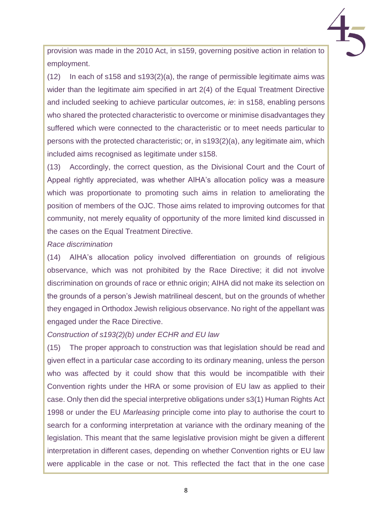provision was made in the 2010 Act, in s159, governing positive action in relation to employment.

(12) In each of s158 and s193(2)(a), the range of permissible legitimate aims was wider than the legitimate aim specified in art 2(4) of the Equal Treatment Directive and included seeking to achieve particular outcomes, *ie*: in s158, enabling persons who shared the protected characteristic to overcome or minimise disadvantages they suffered which were connected to the characteristic or to meet needs particular to persons with the protected characteristic; or, in s193(2)(a), any legitimate aim, which included aims recognised as legitimate under s158.

(13) Accordingly, the correct question, as the Divisional Court and the Court of Appeal rightly appreciated, was whether AIHA's allocation policy was a measure which was proportionate to promoting such aims in relation to ameliorating the position of members of the OJC. Those aims related to improving outcomes for that community, not merely equality of opportunity of the more limited kind discussed in the cases on the Equal Treatment Directive.

#### *Race discrimination*

(14) AIHA's allocation policy involved differentiation on grounds of religious observance, which was not prohibited by the Race Directive; it did not involve discrimination on grounds of race or ethnic origin; AIHA did not make its selection on the grounds of a person's Jewish matrilineal descent, but on the grounds of whether they engaged in Orthodox Jewish religious observance. No right of the appellant was engaged under the Race Directive.

#### *Construction of s193(2)(b) under ECHR and EU law*

(15) The proper approach to construction was that legislation should be read and given effect in a particular case according to its ordinary meaning, unless the person who was affected by it could show that this would be incompatible with their Convention rights under the HRA or some provision of EU law as applied to their case. Only then did the special interpretive obligations under s3(1) Human Rights Act 1998 or under the EU *Marleasing* principle come into play to authorise the court to search for a conforming interpretation at variance with the ordinary meaning of the legislation. This meant that the same legislative provision might be given a different interpretation in different cases, depending on whether Convention rights or EU law were applicable in the case or not. This reflected the fact that in the one case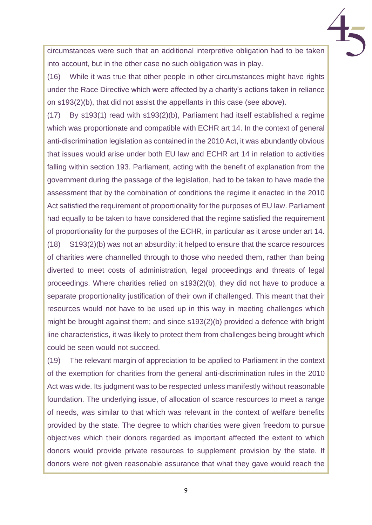circumstances were such that an additional interpretive obligation had to be taken into account, but in the other case no such obligation was in play.

(16) While it was true that other people in other circumstances might have rights under the Race Directive which were affected by a charity's actions taken in reliance on s193(2)(b), that did not assist the appellants in this case (see above).

(17) By s193(1) read with s193(2)(b), Parliament had itself established a regime which was proportionate and compatible with ECHR art 14. In the context of general anti-discrimination legislation as contained in the 2010 Act, it was abundantly obvious that issues would arise under both EU law and ECHR art 14 in relation to activities falling within section 193. Parliament, acting with the benefit of explanation from the government during the passage of the legislation, had to be taken to have made the assessment that by the combination of conditions the regime it enacted in the 2010 Act satisfied the requirement of proportionality for the purposes of EU law. Parliament had equally to be taken to have considered that the regime satisfied the requirement of proportionality for the purposes of the ECHR, in particular as it arose under art 14.

(18) S193(2)(b) was not an absurdity; it helped to ensure that the scarce resources of charities were channelled through to those who needed them, rather than being diverted to meet costs of administration, legal proceedings and threats of legal proceedings. Where charities relied on s193(2)(b), they did not have to produce a separate proportionality justification of their own if challenged. This meant that their resources would not have to be used up in this way in meeting challenges which might be brought against them; and since s193(2)(b) provided a defence with bright line characteristics, it was likely to protect them from challenges being brought which could be seen would not succeed.

(19) The relevant margin of appreciation to be applied to Parliament in the context of the exemption for charities from the general anti-discrimination rules in the 2010 Act was wide. Its judgment was to be respected unless manifestly without reasonable foundation. The underlying issue, of allocation of scarce resources to meet a range of needs, was similar to that which was relevant in the context of welfare benefits provided by the state. The degree to which charities were given freedom to pursue objectives which their donors regarded as important affected the extent to which donors would provide private resources to supplement provision by the state. If donors were not given reasonable assurance that what they gave would reach the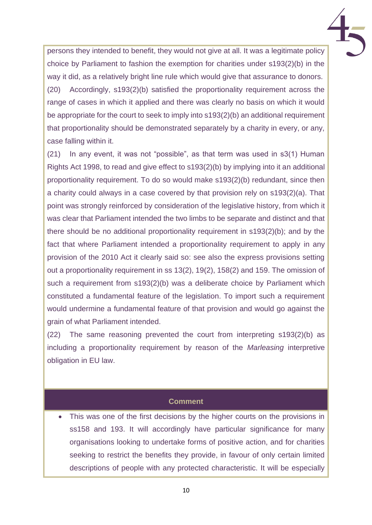persons they intended to benefit, they would not give at all. It was a legitimate policy choice by Parliament to fashion the exemption for charities under s193(2)(b) in the way it did, as a relatively bright line rule which would give that assurance to donors. (20) Accordingly, s193(2)(b) satisfied the proportionality requirement across the range of cases in which it applied and there was clearly no basis on which it would be appropriate for the court to seek to imply into s193(2)(b) an additional requirement that proportionality should be demonstrated separately by a charity in every, or any, case falling within it.

(21) In any event, it was not "possible", as that term was used in s3(1) Human Rights Act 1998, to read and give effect to s193(2)(b) by implying into it an additional proportionality requirement. To do so would make s193(2)(b) redundant, since then a charity could always in a case covered by that provision rely on s193(2)(a). That point was strongly reinforced by consideration of the legislative history, from which it was clear that Parliament intended the two limbs to be separate and distinct and that there should be no additional proportionality requirement in s193(2)(b); and by the fact that where Parliament intended a proportionality requirement to apply in any provision of the 2010 Act it clearly said so: see also the express provisions setting out a proportionality requirement in ss 13(2), 19(2), 158(2) and 159. The omission of such a requirement from s193(2)(b) was a deliberate choice by Parliament which constituted a fundamental feature of the legislation. To import such a requirement would undermine a fundamental feature of that provision and would go against the grain of what Parliament intended.

(22) The same reasoning prevented the court from interpreting s193(2)(b) as including a proportionality requirement by reason of the *Marleasing* interpretive obligation in EU law.

#### **Comment**

This was one of the first decisions by the higher courts on the provisions in ss158 and 193. It will accordingly have particular significance for many organisations looking to undertake forms of positive action, and for charities seeking to restrict the benefits they provide, in favour of only certain limited descriptions of people with any protected characteristic. It will be especially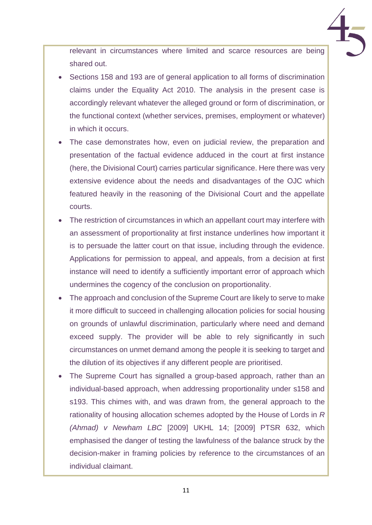relevant in circumstances where limited and scarce resources are being shared out.

- Sections 158 and 193 are of general application to all forms of discrimination claims under the Equality Act 2010. The analysis in the present case is accordingly relevant whatever the alleged ground or form of discrimination, or the functional context (whether services, premises, employment or whatever) in which it occurs.
- The case demonstrates how, even on judicial review, the preparation and presentation of the factual evidence adduced in the court at first instance (here, the Divisional Court) carries particular significance. Here there was very extensive evidence about the needs and disadvantages of the OJC which featured heavily in the reasoning of the Divisional Court and the appellate courts.
- The restriction of circumstances in which an appellant court may interfere with an assessment of proportionality at first instance underlines how important it is to persuade the latter court on that issue, including through the evidence. Applications for permission to appeal, and appeals, from a decision at first instance will need to identify a sufficiently important error of approach which undermines the cogency of the conclusion on proportionality.
- The approach and conclusion of the Supreme Court are likely to serve to make it more difficult to succeed in challenging allocation policies for social housing on grounds of unlawful discrimination, particularly where need and demand exceed supply. The provider will be able to rely significantly in such circumstances on unmet demand among the people it is seeking to target and the dilution of its objectives if any different people are prioritised.
- The Supreme Court has signalled a group-based approach, rather than an individual-based approach, when addressing proportionality under s158 and s193. This chimes with, and was drawn from, the general approach to the rationality of housing allocation schemes adopted by the House of Lords in *R (Ahmad) v Newham LBC* [2009] UKHL 14; [2009] PTSR 632, which emphasised the danger of testing the lawfulness of the balance struck by the decision-maker in framing policies by reference to the circumstances of an individual claimant.